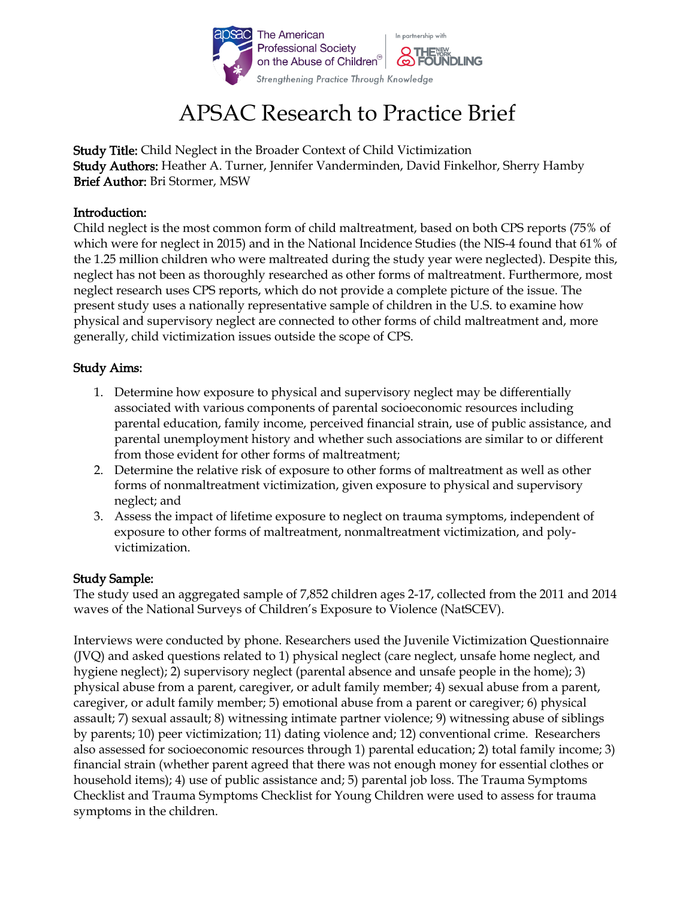

# APSAC Research to Practice Brief

Study Title: Child Neglect in the Broader Context of Child Victimization Study Authors: Heather A. Turner, Jennifer Vanderminden, David Finkelhor, Sherry Hamby Brief Author: Bri Stormer, MSW

## Introduction:

Child neglect is the most common form of child maltreatment, based on both CPS reports (75% of which were for neglect in 2015) and in the National Incidence Studies (the NIS-4 found that 61% of the 1.25 million children who were maltreated during the study year were neglected). Despite this, neglect has not been as thoroughly researched as other forms of maltreatment. Furthermore, most neglect research uses CPS reports, which do not provide a complete picture of the issue. The present study uses a nationally representative sample of children in the U.S. to examine how physical and supervisory neglect are connected to other forms of child maltreatment and, more generally, child victimization issues outside the scope of CPS.

# Study Aims:

- 1. Determine how exposure to physical and supervisory neglect may be differentially associated with various components of parental socioeconomic resources including parental education, family income, perceived financial strain, use of public assistance, and parental unemployment history and whether such associations are similar to or different from those evident for other forms of maltreatment;
- 2. Determine the relative risk of exposure to other forms of maltreatment as well as other forms of nonmaltreatment victimization, given exposure to physical and supervisory neglect; and
- 3. Assess the impact of lifetime exposure to neglect on trauma symptoms, independent of exposure to other forms of maltreatment, nonmaltreatment victimization, and polyvictimization.

### Study Sample:

The study used an aggregated sample of 7,852 children ages 2-17, collected from the 2011 and 2014 waves of the National Surveys of Children's Exposure to Violence (NatSCEV).

Interviews were conducted by phone. Researchers used the Juvenile Victimization Questionnaire (JVQ) and asked questions related to 1) physical neglect (care neglect, unsafe home neglect, and hygiene neglect); 2) supervisory neglect (parental absence and unsafe people in the home); 3) physical abuse from a parent, caregiver, or adult family member; 4) sexual abuse from a parent, caregiver, or adult family member; 5) emotional abuse from a parent or caregiver; 6) physical assault; 7) sexual assault; 8) witnessing intimate partner violence; 9) witnessing abuse of siblings by parents; 10) peer victimization; 11) dating violence and; 12) conventional crime. Researchers also assessed for socioeconomic resources through 1) parental education; 2) total family income; 3) financial strain (whether parent agreed that there was not enough money for essential clothes or household items); 4) use of public assistance and; 5) parental job loss. The Trauma Symptoms Checklist and Trauma Symptoms Checklist for Young Children were used to assess for trauma symptoms in the children.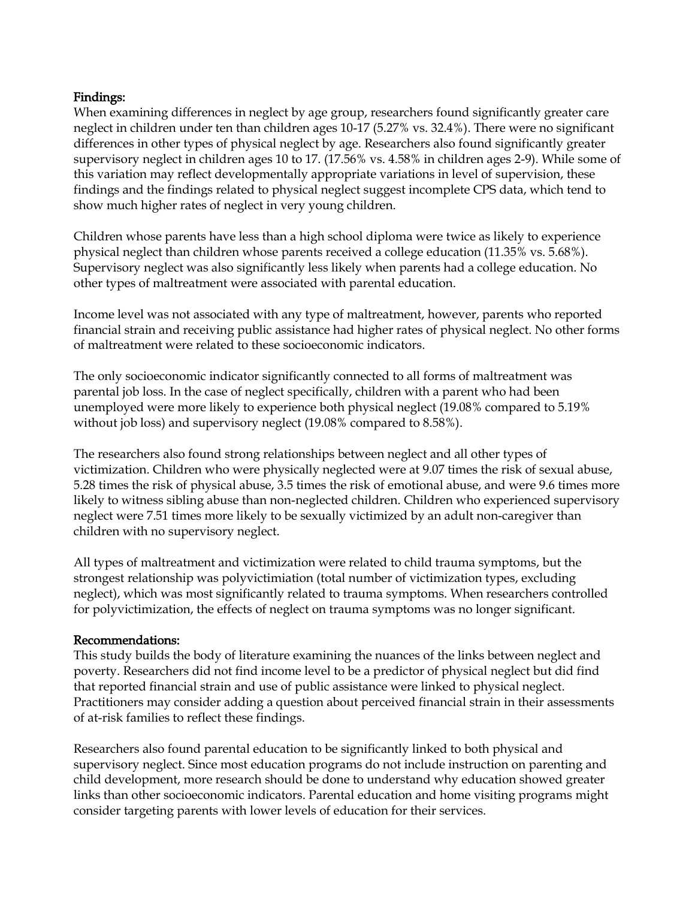# Findings:

When examining differences in neglect by age group, researchers found significantly greater care neglect in children under ten than children ages 10-17 (5.27% vs. 32.4%). There were no significant differences in other types of physical neglect by age. Researchers also found significantly greater supervisory neglect in children ages 10 to 17. (17.56% vs. 4.58% in children ages 2-9). While some of this variation may reflect developmentally appropriate variations in level of supervision, these findings and the findings related to physical neglect suggest incomplete CPS data, which tend to show much higher rates of neglect in very young children.

Children whose parents have less than a high school diploma were twice as likely to experience physical neglect than children whose parents received a college education (11.35% vs. 5.68%). Supervisory neglect was also significantly less likely when parents had a college education. No other types of maltreatment were associated with parental education.

Income level was not associated with any type of maltreatment, however, parents who reported financial strain and receiving public assistance had higher rates of physical neglect. No other forms of maltreatment were related to these socioeconomic indicators.

The only socioeconomic indicator significantly connected to all forms of maltreatment was parental job loss. In the case of neglect specifically, children with a parent who had been unemployed were more likely to experience both physical neglect (19.08% compared to 5.19% without job loss) and supervisory neglect (19.08% compared to 8.58%).

The researchers also found strong relationships between neglect and all other types of victimization. Children who were physically neglected were at 9.07 times the risk of sexual abuse, 5.28 times the risk of physical abuse, 3.5 times the risk of emotional abuse, and were 9.6 times more likely to witness sibling abuse than non-neglected children. Children who experienced supervisory neglect were 7.51 times more likely to be sexually victimized by an adult non-caregiver than children with no supervisory neglect.

All types of maltreatment and victimization were related to child trauma symptoms, but the strongest relationship was polyvictimiation (total number of victimization types, excluding neglect), which was most significantly related to trauma symptoms. When researchers controlled for polyvictimization, the effects of neglect on trauma symptoms was no longer significant.

### Recommendations:

This study builds the body of literature examining the nuances of the links between neglect and poverty. Researchers did not find income level to be a predictor of physical neglect but did find that reported financial strain and use of public assistance were linked to physical neglect. Practitioners may consider adding a question about perceived financial strain in their assessments of at-risk families to reflect these findings.

Researchers also found parental education to be significantly linked to both physical and supervisory neglect. Since most education programs do not include instruction on parenting and child development, more research should be done to understand why education showed greater links than other socioeconomic indicators. Parental education and home visiting programs might consider targeting parents with lower levels of education for their services.